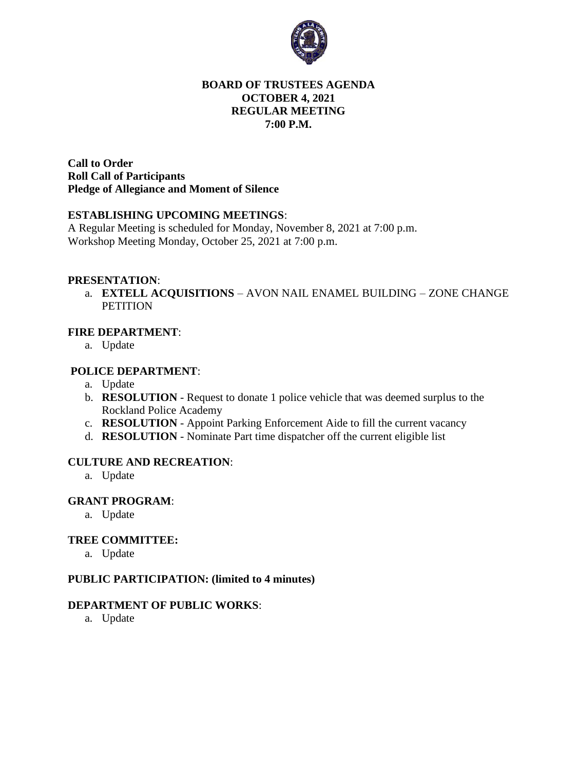

## **BOARD OF TRUSTEES AGENDA OCTOBER 4, 2021 REGULAR MEETING 7:00 P.M.**

**Call to Order Roll Call of Participants Pledge of Allegiance and Moment of Silence** 

#### **ESTABLISHING UPCOMING MEETINGS**:

A Regular Meeting is scheduled for Monday, November 8, 2021 at 7:00 p.m. Workshop Meeting Monday, October 25, 2021 at 7:00 p.m.

#### **PRESENTATION**:

a. **EXTELL ACQUISITIONS** – AVON NAIL ENAMEL BUILDING – ZONE CHANGE **PETITION** 

## **FIRE DEPARTMENT**:

a. Update

#### **POLICE DEPARTMENT**:

- a. Update
- b. **RESOLUTION** Request to donate 1 police vehicle that was deemed surplus to the Rockland Police Academy
- c. **RESOLUTION** Appoint Parking Enforcement Aide to fill the current vacancy
- d. **RESOLUTION** Nominate Part time dispatcher off the current eligible list

#### **CULTURE AND RECREATION**:

a. Update

#### **GRANT PROGRAM**:

a. Update

### **TREE COMMITTEE:**

a. Update

### **PUBLIC PARTICIPATION: (limited to 4 minutes)**

### **DEPARTMENT OF PUBLIC WORKS**:

a. Update